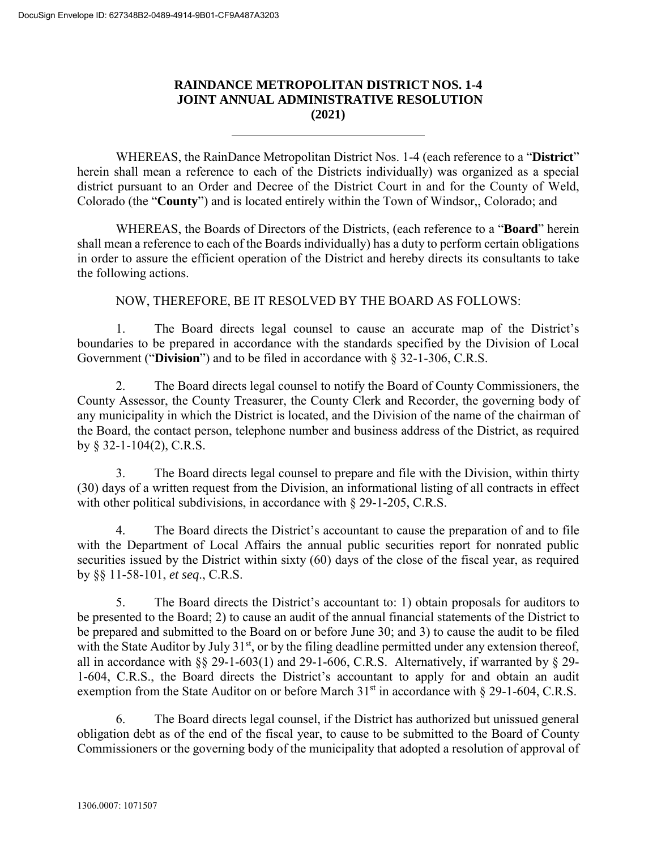## **RAINDANCE METROPOLITAN DISTRICT NOS. 1-4 JOINT ANNUAL ADMINISTRATIVE RESOLUTION (2021)**

 $\overline{a}$ 

WHEREAS, the RainDance Metropolitan District Nos. 1-4 (each reference to a "**District**" herein shall mean a reference to each of the Districts individually) was organized as a special district pursuant to an Order and Decree of the District Court in and for the County of Weld, Colorado (the "**County**") and is located entirely within the Town of Windsor,, Colorado; and

WHEREAS, the Boards of Directors of the Districts, (each reference to a "**Board**" herein shall mean a reference to each of the Boards individually) has a duty to perform certain obligations in order to assure the efficient operation of the District and hereby directs its consultants to take the following actions.

NOW, THEREFORE, BE IT RESOLVED BY THE BOARD AS FOLLOWS:

1. The Board directs legal counsel to cause an accurate map of the District's boundaries to be prepared in accordance with the standards specified by the Division of Local Government ("**Division**") and to be filed in accordance with § 32-1-306, C.R.S.

2. The Board directs legal counsel to notify the Board of County Commissioners, the County Assessor, the County Treasurer, the County Clerk and Recorder, the governing body of any municipality in which the District is located, and the Division of the name of the chairman of the Board, the contact person, telephone number and business address of the District, as required by § 32-1-104(2), C.R.S.

3. The Board directs legal counsel to prepare and file with the Division, within thirty (30) days of a written request from the Division, an informational listing of all contracts in effect with other political subdivisions, in accordance with § 29-1-205, C.R.S.

4. The Board directs the District's accountant to cause the preparation of and to file with the Department of Local Affairs the annual public securities report for nonrated public securities issued by the District within sixty (60) days of the close of the fiscal year, as required by §§ 11-58-101, *et seq*., C.R.S.

5. The Board directs the District's accountant to: 1) obtain proposals for auditors to be presented to the Board; 2) to cause an audit of the annual financial statements of the District to be prepared and submitted to the Board on or before June 30; and 3) to cause the audit to be filed with the State Auditor by July 31<sup>st</sup>, or by the filing deadline permitted under any extension thereof, all in accordance with  $\S$ § 29-1-603(1) and 29-1-606, C.R.S. Alternatively, if warranted by § 29-1-604, C.R.S., the Board directs the District's accountant to apply for and obtain an audit exemption from the State Auditor on or before March 31<sup>st</sup> in accordance with § 29-1-604, C.R.S.

6. The Board directs legal counsel, if the District has authorized but unissued general obligation debt as of the end of the fiscal year, to cause to be submitted to the Board of County Commissioners or the governing body of the municipality that adopted a resolution of approval of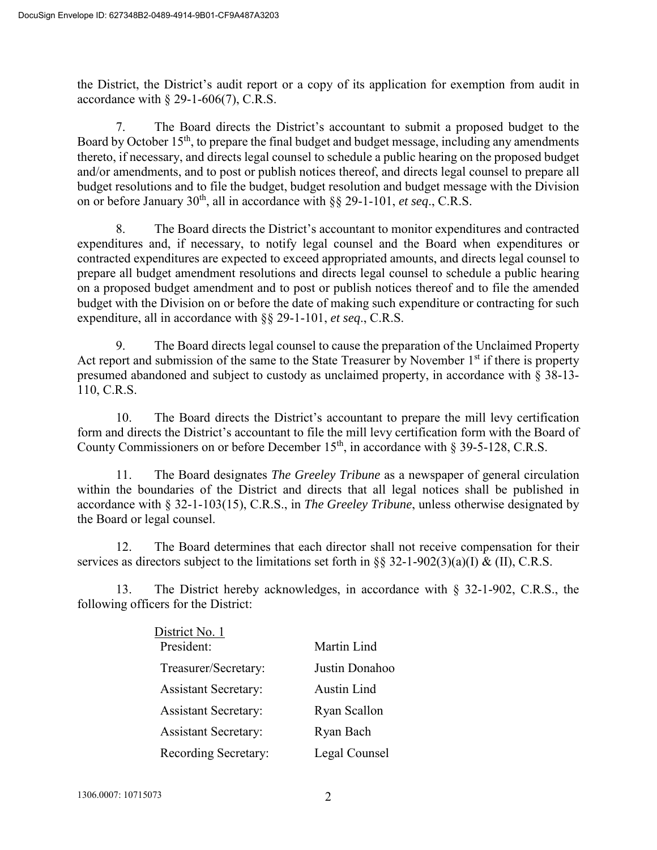the District, the District's audit report or a copy of its application for exemption from audit in accordance with  $\S$  29-1-606(7), C.R.S.

7. The Board directs the District's accountant to submit a proposed budget to the Board by October 15<sup>th</sup>, to prepare the final budget and budget message, including any amendments thereto, if necessary, and directs legal counsel to schedule a public hearing on the proposed budget and/or amendments, and to post or publish notices thereof, and directs legal counsel to prepare all budget resolutions and to file the budget, budget resolution and budget message with the Division on or before January  $30<sup>th</sup>$ , all in accordance with  $\S$ § 29-1-101, *et seq.*, C.R.S.

8. The Board directs the District's accountant to monitor expenditures and contracted expenditures and, if necessary, to notify legal counsel and the Board when expenditures or contracted expenditures are expected to exceed appropriated amounts, and directs legal counsel to prepare all budget amendment resolutions and directs legal counsel to schedule a public hearing on a proposed budget amendment and to post or publish notices thereof and to file the amended budget with the Division on or before the date of making such expenditure or contracting for such expenditure, all in accordance with §§ 29-1-101, *et seq*., C.R.S.

9. The Board directs legal counsel to cause the preparation of the Unclaimed Property Act report and submission of the same to the State Treasurer by November  $1<sup>st</sup>$  if there is property presumed abandoned and subject to custody as unclaimed property, in accordance with § 38-13- 110, C.R.S.

10. The Board directs the District's accountant to prepare the mill levy certification form and directs the District's accountant to file the mill levy certification form with the Board of County Commissioners on or before December  $15<sup>th</sup>$ , in accordance with  $\S$  39-5-128, C.R.S.

11. The Board designates *The Greeley Tribune* as a newspaper of general circulation within the boundaries of the District and directs that all legal notices shall be published in accordance with § 32-1-103(15), C.R.S., in *The Greeley Tribune*, unless otherwise designated by the Board or legal counsel.

12. The Board determines that each director shall not receive compensation for their services as directors subject to the limitations set forth in  $\S$ § 32-1-902(3)(a)(I) & (II), C.R.S.

13. The District hereby acknowledges, in accordance with § 32-1-902, C.R.S., the following officers for the District:

| District No. 1              |                    |
|-----------------------------|--------------------|
| President:                  | Martin Lind        |
| Treasurer/Secretary:        | Justin Donahoo     |
| <b>Assistant Secretary:</b> | <b>Austin Lind</b> |
| <b>Assistant Secretary:</b> | Ryan Scallon       |
| <b>Assistant Secretary:</b> | Ryan Bach          |
| Recording Secretary:        | Legal Counsel      |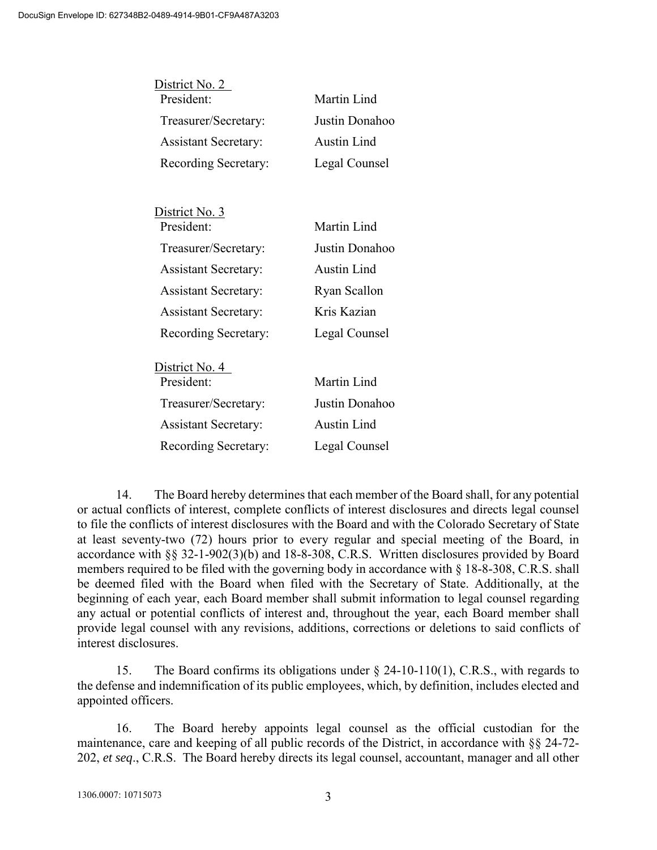| District No. 2               |                    |
|------------------------------|--------------------|
| President:                   | Martin Lind        |
| Treasurer/Secretary:         | Justin Donahoo     |
| <b>Assistant Secretary:</b>  | <b>Austin Lind</b> |
| Recording Secretary:         | Legal Counsel      |
|                              |                    |
| District No. 3               |                    |
| President:                   | Martin Lind        |
| Treasurer/Secretary:         | Justin Donahoo     |
| <b>Assistant Secretary:</b>  | Austin Lind        |
| <b>Assistant Secretary:</b>  | Ryan Scallon       |
| <b>Assistant Secretary:</b>  | Kris Kazian        |
| Recording Secretary:         | Legal Counsel      |
|                              |                    |
| District No. 4<br>President: | Martin Lind        |
| Treasurer/Secretary:         | Justin Donahoo     |
| <b>Assistant Secretary:</b>  | <b>Austin Lind</b> |
| Recording Secretary:         | Legal Counsel      |
|                              |                    |

14. The Board hereby determines that each member of the Board shall, for any potential or actual conflicts of interest, complete conflicts of interest disclosures and directs legal counsel to file the conflicts of interest disclosures with the Board and with the Colorado Secretary of State at least seventy-two (72) hours prior to every regular and special meeting of the Board, in accordance with §§ 32-1-902(3)(b) and 18-8-308, C.R.S. Written disclosures provided by Board members required to be filed with the governing body in accordance with § 18-8-308, C.R.S. shall be deemed filed with the Board when filed with the Secretary of State. Additionally, at the beginning of each year, each Board member shall submit information to legal counsel regarding any actual or potential conflicts of interest and, throughout the year, each Board member shall provide legal counsel with any revisions, additions, corrections or deletions to said conflicts of interest disclosures.

15. The Board confirms its obligations under § 24-10-110(1), C.R.S., with regards to the defense and indemnification of its public employees, which, by definition, includes elected and appointed officers.

16. The Board hereby appoints legal counsel as the official custodian for the maintenance, care and keeping of all public records of the District, in accordance with §§ 24-72- 202, *et seq*., C.R.S. The Board hereby directs its legal counsel, accountant, manager and all other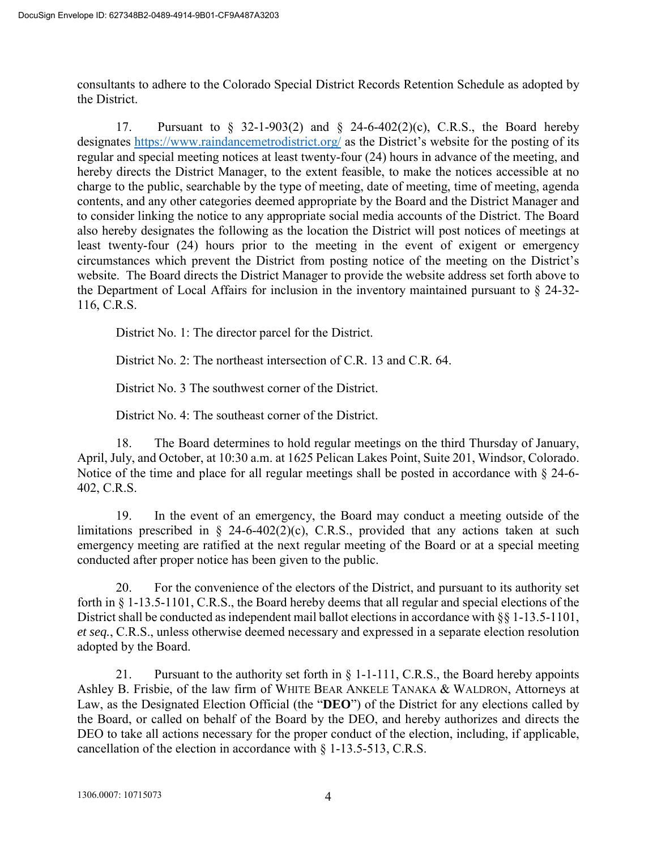consultants to adhere to the Colorado Special District Records Retention Schedule as adopted by the District.

17. Pursuant to § 32-1-903(2) and § 24-6-402(2)(c), C.R.S., the Board hereby designates<https://www.raindancemetrodistrict.org/> as the District's website for the posting of its regular and special meeting notices at least twenty-four (24) hours in advance of the meeting, and hereby directs the District Manager, to the extent feasible, to make the notices accessible at no charge to the public, searchable by the type of meeting, date of meeting, time of meeting, agenda contents, and any other categories deemed appropriate by the Board and the District Manager and to consider linking the notice to any appropriate social media accounts of the District. The Board also hereby designates the following as the location the District will post notices of meetings at least twenty-four (24) hours prior to the meeting in the event of exigent or emergency circumstances which prevent the District from posting notice of the meeting on the District's website. The Board directs the District Manager to provide the website address set forth above to the Department of Local Affairs for inclusion in the inventory maintained pursuant to § 24-32- 116, C.R.S.

District No. 1: The director parcel for the District.

District No. 2: The northeast intersection of C.R. 13 and C.R. 64.

District No. 3 The southwest corner of the District.

District No. 4: The southeast corner of the District.

18. The Board determines to hold regular meetings on the third Thursday of January, April, July, and October, at 10:30 a.m. at 1625 Pelican Lakes Point, Suite 201, Windsor, Colorado. Notice of the time and place for all regular meetings shall be posted in accordance with  $\S$  24-6-402, C.R.S.

19. In the event of an emergency, the Board may conduct a meeting outside of the limitations prescribed in  $\S$  24-6-402(2)(c), C.R.S., provided that any actions taken at such emergency meeting are ratified at the next regular meeting of the Board or at a special meeting conducted after proper notice has been given to the public.

20. For the convenience of the electors of the District, and pursuant to its authority set forth in § 1-13.5-1101, C.R.S., the Board hereby deems that all regular and special elections of the District shall be conducted as independent mail ballot elections in accordance with §§ 1-13.5-1101, *et seq.*, C.R.S., unless otherwise deemed necessary and expressed in a separate election resolution adopted by the Board.

21. Pursuant to the authority set forth in § 1-1-111, C.R.S., the Board hereby appoints Ashley B. Frisbie, of the law firm of WHITE BEAR ANKELE TANAKA & WALDRON, Attorneys at Law, as the Designated Election Official (the "**DEO**") of the District for any elections called by the Board, or called on behalf of the Board by the DEO, and hereby authorizes and directs the DEO to take all actions necessary for the proper conduct of the election, including, if applicable, cancellation of the election in accordance with § 1-13.5-513, C.R.S.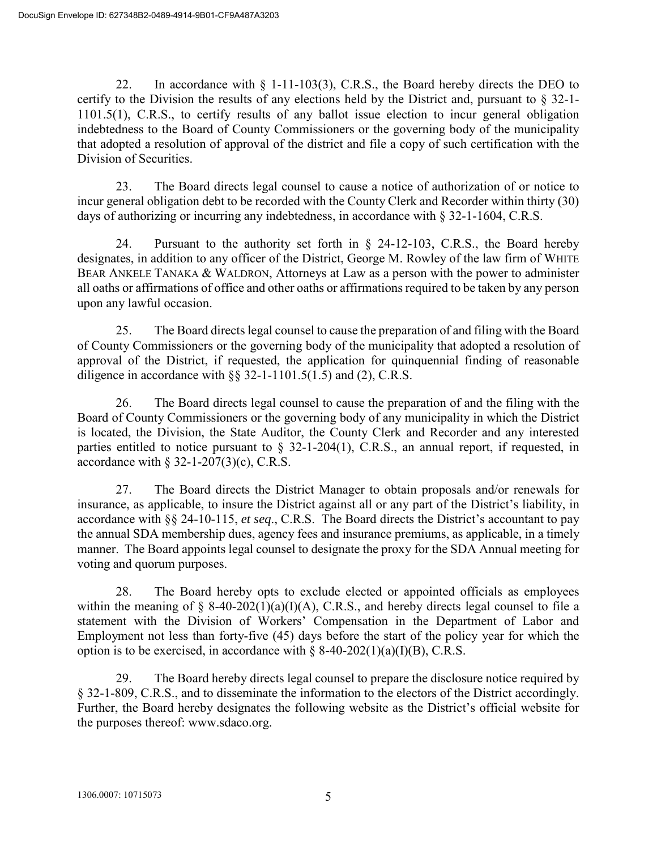22. In accordance with § 1-11-103(3), C.R.S., the Board hereby directs the DEO to certify to the Division the results of any elections held by the District and, pursuant to § 32-1- 1101.5(1), C.R.S., to certify results of any ballot issue election to incur general obligation indebtedness to the Board of County Commissioners or the governing body of the municipality that adopted a resolution of approval of the district and file a copy of such certification with the Division of Securities.

23. The Board directs legal counsel to cause a notice of authorization of or notice to incur general obligation debt to be recorded with the County Clerk and Recorder within thirty (30) days of authorizing or incurring any indebtedness, in accordance with § 32-1-1604, C.R.S.

24. Pursuant to the authority set forth in § 24-12-103, C.R.S., the Board hereby designates, in addition to any officer of the District, George M. Rowley of the law firm of WHITE BEAR ANKELE TANAKA & WALDRON, Attorneys at Law as a person with the power to administer all oaths or affirmations of office and other oaths or affirmations required to be taken by any person upon any lawful occasion.

25. The Board directs legal counsel to cause the preparation of and filing with the Board of County Commissioners or the governing body of the municipality that adopted a resolution of approval of the District, if requested, the application for quinquennial finding of reasonable diligence in accordance with  $\S$ § 32-1-1101.5(1.5) and (2), C.R.S.

26. The Board directs legal counsel to cause the preparation of and the filing with the Board of County Commissioners or the governing body of any municipality in which the District is located, the Division, the State Auditor, the County Clerk and Recorder and any interested parties entitled to notice pursuant to § 32-1-204(1), C.R.S., an annual report, if requested, in accordance with  $\S$  32-1-207(3)(c), C.R.S.

27. The Board directs the District Manager to obtain proposals and/or renewals for insurance, as applicable, to insure the District against all or any part of the District's liability, in accordance with §§ 24-10-115, *et seq*., C.R.S. The Board directs the District's accountant to pay the annual SDA membership dues, agency fees and insurance premiums, as applicable, in a timely manner. The Board appoints legal counsel to designate the proxy for the SDA Annual meeting for voting and quorum purposes.

28. The Board hereby opts to exclude elected or appointed officials as employees within the meaning of  $\S$  8-40-202(1)(a)(I)(A), C.R.S., and hereby directs legal counsel to file a statement with the Division of Workers' Compensation in the Department of Labor and Employment not less than forty-five (45) days before the start of the policy year for which the option is to be exercised, in accordance with  $\S$  8-40-202(1)(a)(I)(B), C.R.S.

29. The Board hereby directs legal counsel to prepare the disclosure notice required by § 32-1-809, C.R.S., and to disseminate the information to the electors of the District accordingly. Further, the Board hereby designates the following website as the District's official website for the purposes thereof: www.sdaco.org.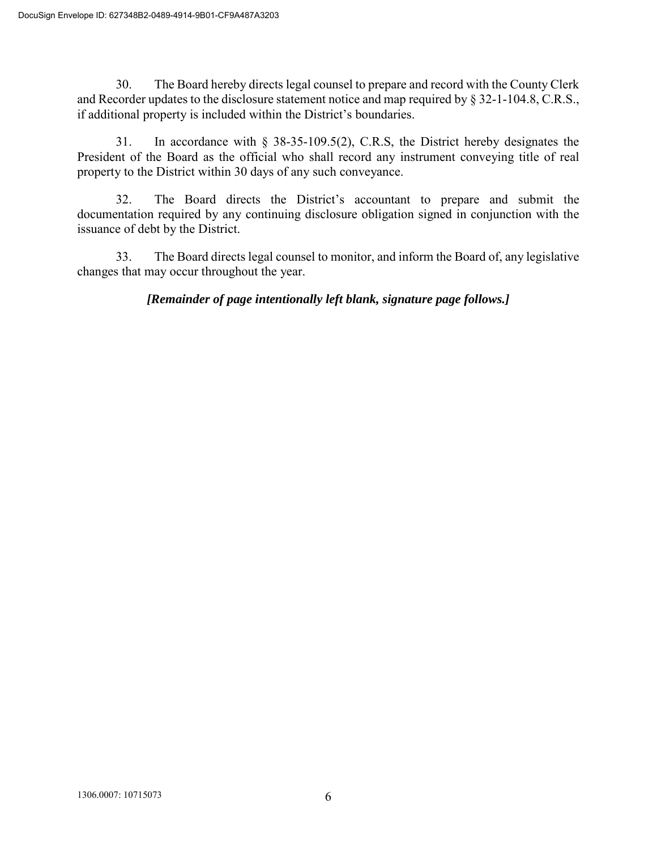30. The Board hereby directs legal counsel to prepare and record with the County Clerk and Recorder updates to the disclosure statement notice and map required by § 32-1-104.8, C.R.S., if additional property is included within the District's boundaries.

31. In accordance with § 38-35-109.5(2), C.R.S, the District hereby designates the President of the Board as the official who shall record any instrument conveying title of real property to the District within 30 days of any such conveyance.

32. The Board directs the District's accountant to prepare and submit the documentation required by any continuing disclosure obligation signed in conjunction with the issuance of debt by the District.

33. The Board directs legal counsel to monitor, and inform the Board of, any legislative changes that may occur throughout the year.

*[Remainder of page intentionally left blank, signature page follows.]*